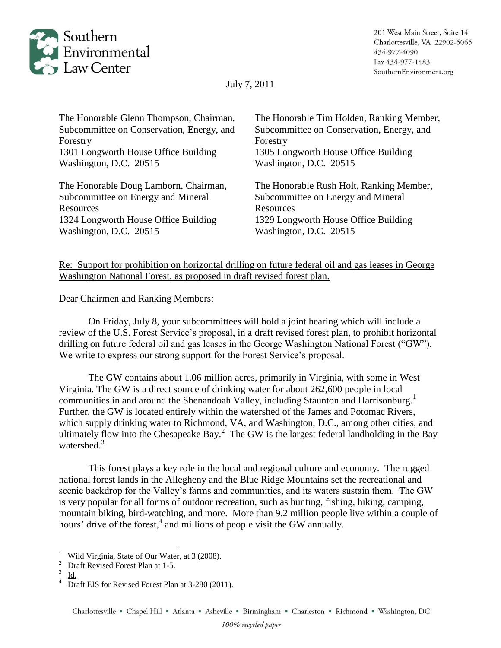

July 7, 2011

| The Honorable Glenn Thompson, Chairman,   | The Honorable Tim Holden, Ranking Member, |
|-------------------------------------------|-------------------------------------------|
| Subcommittee on Conservation, Energy, and | Subcommittee on Conservation, Energy, and |
| Forestry                                  | Forestry                                  |
| 1301 Longworth House Office Building      | 1305 Longworth House Office Building      |
| Washington, D.C. 20515                    | Washington, D.C. 20515                    |
| The Honorable Doug Lamborn, Chairman,     | The Honorable Rush Holt, Ranking Member,  |
| Subcommittee on Energy and Mineral        | Subcommittee on Energy and Mineral        |
| Resources                                 | Resources                                 |
| 1324 Longworth House Office Building      | 1329 Longworth House Office Building      |
| Washington, D.C. 20515                    | Washington, D.C. 20515                    |
|                                           |                                           |

Re: Support for prohibition on horizontal drilling on future federal oil and gas leases in George Washington National Forest, as proposed in draft revised forest plan.

Dear Chairmen and Ranking Members:

On Friday, July 8, your subcommittees will hold a joint hearing which will include a review of the U.S. Forest Service's proposal, in a draft revised forest plan, to prohibit horizontal drilling on future federal oil and gas leases in the George Washington National Forest ("GW"). We write to express our strong support for the Forest Service's proposal.

The GW contains about 1.06 million acres, primarily in Virginia, with some in West Virginia. The GW is a direct source of drinking water for about 262,600 people in local communities in and around the Shenandoah Valley, including Staunton and Harrisonburg.<sup>1</sup> Further, the GW is located entirely within the watershed of the James and Potomac Rivers, which supply drinking water to Richmond, VA, and Washington, D.C., among other cities, and ultimately flow into the Chesapeake Bay.<sup>2</sup> The GW is the largest federal landholding in the Bay watershed.<sup>3</sup>

This forest plays a key role in the local and regional culture and economy. The rugged national forest lands in the Allegheny and the Blue Ridge Mountains set the recreational and scenic backdrop for the Valley's farms and communities, and its waters sustain them. The GW is very popular for all forms of outdoor recreation, such as hunting, fishing, hiking, camping, mountain biking, bird-watching, and more. More than 9.2 million people live within a couple of hours' drive of the forest,<sup>4</sup> and millions of people visit the GW annually.

 $\overline{\phantom{a}}$ 

<sup>1</sup> Wild Virginia, State of Our Water, at 3 (2008).

<sup>2</sup> Draft Revised Forest Plan at 1-5.

<sup>3</sup> Id.

<sup>4</sup> Draft EIS for Revised Forest Plan at 3-280 (2011).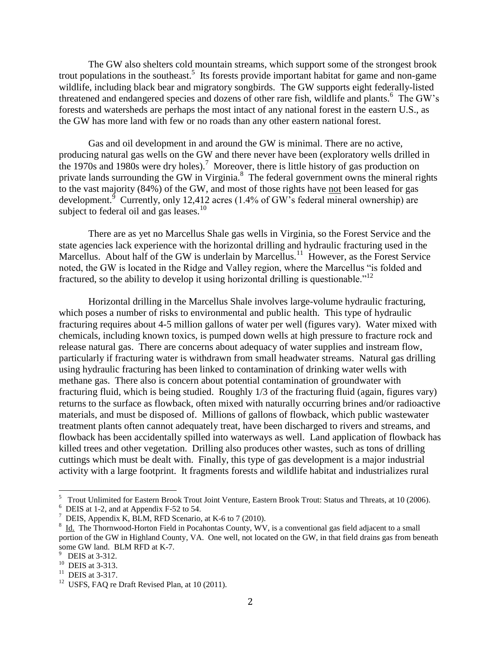The GW also shelters cold mountain streams, which support some of the strongest brook trout populations in the southeast.<sup>5</sup> Its forests provide important habitat for game and non-game wildlife, including black bear and migratory songbirds. The GW supports eight federally-listed threatened and endangered species and dozens of other rare fish, wildlife and plants.<sup>6</sup> The GW's forests and watersheds are perhaps the most intact of any national forest in the eastern U.S., as the GW has more land with few or no roads than any other eastern national forest.

Gas and oil development in and around the GW is minimal. There are no active, producing natural gas wells on the GW and there never have been (exploratory wells drilled in the 1970s and 1980s were dry holes).<sup>7</sup> Moreover, there is little history of gas production on private lands surrounding the GW in Virginia.<sup>8</sup> The federal government owns the mineral rights to the vast majority (84%) of the GW, and most of those rights have not been leased for gas development.<sup>9</sup> Currently, only 12,412 acres (1.4% of GW's federal mineral ownership) are subject to federal oil and gas leases.<sup>10</sup>

There are as yet no Marcellus Shale gas wells in Virginia, so the Forest Service and the state agencies lack experience with the horizontal drilling and hydraulic fracturing used in the Marcellus. About half of the GW is underlain by Marcellus.<sup>11</sup> However, as the Forest Service noted, the GW is located in the Ridge and Valley region, where the Marcellus "is folded and fractured, so the ability to develop it using horizontal drilling is questionable."<sup>12</sup>

Horizontal drilling in the Marcellus Shale involves large-volume hydraulic fracturing, which poses a number of risks to environmental and public health. This type of hydraulic fracturing requires about 4-5 million gallons of water per well (figures vary). Water mixed with chemicals, including known toxics, is pumped down wells at high pressure to fracture rock and release natural gas. There are concerns about adequacy of water supplies and instream flow, particularly if fracturing water is withdrawn from small headwater streams. Natural gas drilling using hydraulic fracturing has been linked to contamination of drinking water wells with methane gas. There also is concern about potential contamination of groundwater with fracturing fluid, which is being studied. Roughly 1/3 of the fracturing fluid (again, figures vary) returns to the surface as flowback, often mixed with naturally occurring brines and/or radioactive materials, and must be disposed of. Millions of gallons of flowback, which public wastewater treatment plants often cannot adequately treat, have been discharged to rivers and streams, and flowback has been accidentally spilled into waterways as well. Land application of flowback has killed trees and other vegetation. Drilling also produces other wastes, such as tons of drilling cuttings which must be dealt with. Finally, this type of gas development is a major industrial activity with a large footprint. It fragments forests and wildlife habitat and industrializes rural

 $\overline{\phantom{a}}$ 

<sup>&</sup>lt;sup>5</sup> Trout Unlimited for Eastern Brook Trout Joint Venture, Eastern Brook Trout: Status and Threats, at 10 (2006).

<sup>&</sup>lt;sup>6</sup> DEIS at 1-2, and at Appendix F-52 to 54.

<sup>&</sup>lt;sup>7</sup> DEIS, Appendix K, BLM, RFD Scenario, at K-6 to 7 (2010).

 $8$  Id. The Thornwood-Horton Field in Pocahontas County, WV, is a conventional gas field adjacent to a small portion of the GW in Highland County, VA. One well, not located on the GW, in that field drains gas from beneath some GW land. BLM RFD at K-7.

<sup>&</sup>lt;sup>9</sup> DEIS at 3-312.

<sup>&</sup>lt;sup>10</sup> DEIS at 3-313.

 $11$  DEIS at 3-317.

 $12$  USFS, FAQ re Draft Revised Plan, at 10 (2011).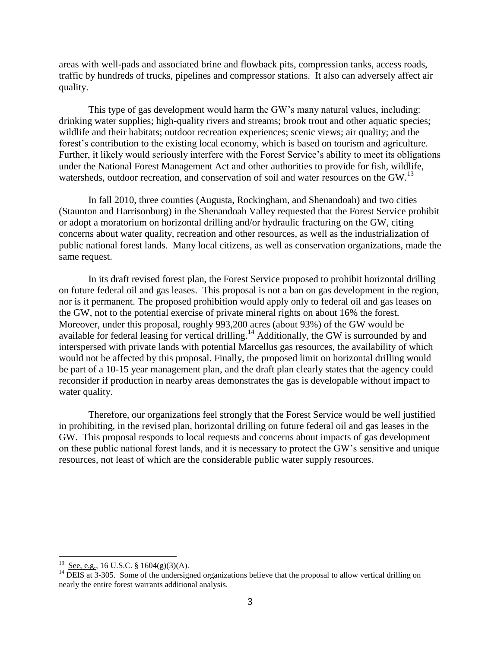areas with well-pads and associated brine and flowback pits, compression tanks, access roads, traffic by hundreds of trucks, pipelines and compressor stations. It also can adversely affect air quality.

This type of gas development would harm the GW's many natural values, including: drinking water supplies; high-quality rivers and streams; brook trout and other aquatic species; wildlife and their habitats; outdoor recreation experiences; scenic views; air quality; and the forest's contribution to the existing local economy, which is based on tourism and agriculture. Further, it likely would seriously interfere with the Forest Service's ability to meet its obligations under the National Forest Management Act and other authorities to provide for fish, wildlife, watersheds, outdoor recreation, and conservation of soil and water resources on the GW.<sup>13</sup>

In fall 2010, three counties (Augusta, Rockingham, and Shenandoah) and two cities (Staunton and Harrisonburg) in the Shenandoah Valley requested that the Forest Service prohibit or adopt a moratorium on horizontal drilling and/or hydraulic fracturing on the GW, citing concerns about water quality, recreation and other resources, as well as the industrialization of public national forest lands. Many local citizens, as well as conservation organizations, made the same request.

In its draft revised forest plan, the Forest Service proposed to prohibit horizontal drilling on future federal oil and gas leases. This proposal is not a ban on gas development in the region, nor is it permanent. The proposed prohibition would apply only to federal oil and gas leases on the GW, not to the potential exercise of private mineral rights on about 16% the forest. Moreover, under this proposal, roughly 993,200 acres (about 93%) of the GW would be available for federal leasing for vertical drilling.<sup>14</sup> Additionally, the GW is surrounded by and interspersed with private lands with potential Marcellus gas resources, the availability of which would not be affected by this proposal. Finally, the proposed limit on horizontal drilling would be part of a 10-15 year management plan, and the draft plan clearly states that the agency could reconsider if production in nearby areas demonstrates the gas is developable without impact to water quality.

Therefore, our organizations feel strongly that the Forest Service would be well justified in prohibiting, in the revised plan, horizontal drilling on future federal oil and gas leases in the GW. This proposal responds to local requests and concerns about impacts of gas development on these public national forest lands, and it is necessary to protect the GW's sensitive and unique resources, not least of which are the considerable public water supply resources.

 $\overline{\phantom{a}}$ 

 $^{13}$  See, e.g., 16 U.S.C. § 1604(g)(3)(A).

<sup>&</sup>lt;sup>14</sup> DEIS at 3-305. Some of the undersigned organizations believe that the proposal to allow vertical drilling on nearly the entire forest warrants additional analysis.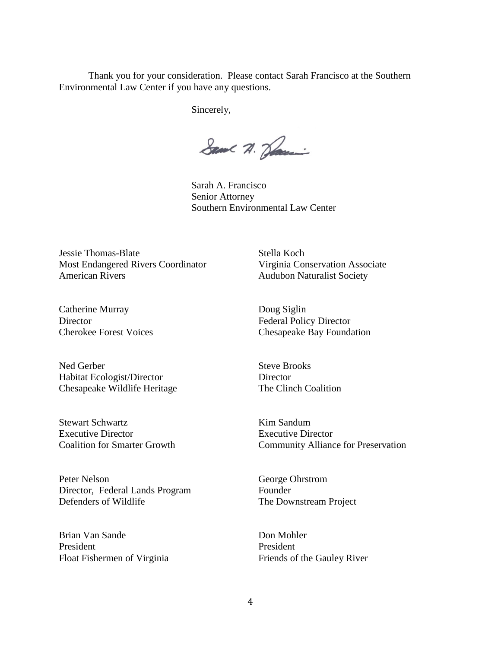Thank you for your consideration. Please contact Sarah Francisco at the Southern Environmental Law Center if you have any questions.

Sincerely,

Same A. Sami

Sarah A. Francisco Senior Attorney Southern Environmental Law Center

Jessie Thomas-Blate Most Endangered Rivers Coordinator American Rivers

Catherine Murray Director Cherokee Forest Voices

Ned Gerber Habitat Ecologist/Director Chesapeake Wildlife Heritage

Stewart Schwartz Executive Director Coalition for Smarter Growth

Peter Nelson Director, Federal Lands Program Defenders of Wildlife

Brian Van Sande President Float Fishermen of Virginia Stella Koch Virginia Conservation Associate Audubon Naturalist Society

Doug Siglin Federal Policy Director Chesapeake Bay Foundation

Steve Brooks **Director** The Clinch Coalition

Kim Sandum Executive Director Community Alliance for Preservation

George Ohrstrom Founder The Downstream Project

Don Mohler President Friends of the Gauley River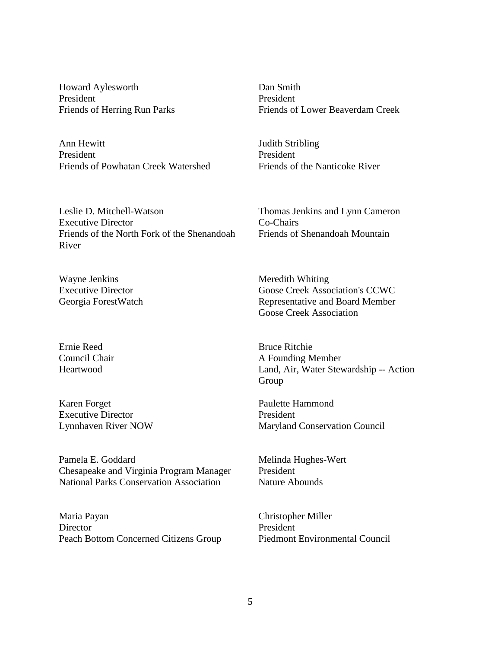Howard Aylesworth President Friends of Herring Run Parks

Ann Hewitt President Friends of Powhatan Creek Watershed

Leslie D. Mitchell-Watson Executive Director Friends of the North Fork of the Shenandoah River

Wayne Jenkins Executive Director Georgia ForestWatch

Ernie Reed Council Chair Heartwood

Karen Forget Executive Director Lynnhaven River NOW

Pamela E. Goddard Chesapeake and Virginia Program Manager National Parks Conservation Association

Maria Payan **Director** Peach Bottom Concerned Citizens Group Dan Smith President Friends of Lower Beaverdam Creek

Judith Stribling President Friends of the Nanticoke River

Thomas Jenkins and Lynn Cameron Co-Chairs Friends of Shenandoah Mountain

Meredith Whiting Goose Creek Association's CCWC Representative and Board Member Goose Creek Association

Bruce Ritchie A Founding Member Land, Air, Water Stewardship -- Action Group

Paulette Hammond President Maryland Conservation Council

Melinda Hughes-Wert President Nature Abounds

Christopher Miller President Piedmont Environmental Council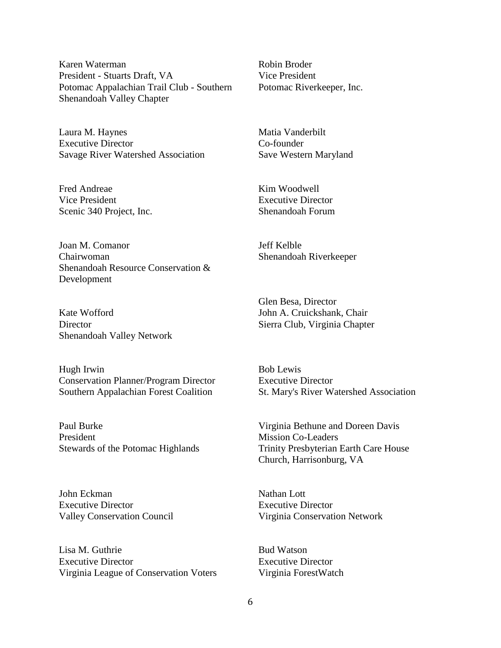Karen Waterman President - Stuarts Draft, VA Potomac Appalachian Trail Club - Southern Shenandoah Valley Chapter

Laura M. Haynes Executive Director Savage River Watershed Association

Fred Andreae Vice President Scenic 340 Project, Inc.

Joan M. Comanor Chairwoman Shenandoah Resource Conservation & Development

Kate Wofford **Director** Shenandoah Valley Network

Hugh Irwin Conservation Planner/Program Director Southern Appalachian Forest Coalition

Paul Burke President Stewards of the Potomac Highlands

John Eckman Executive Director Valley Conservation Council

Lisa M. Guthrie Executive Director Virginia League of Conservation Voters Robin Broder Vice President Potomac Riverkeeper, Inc.

Matia Vanderbilt Co-founder Save Western Maryland

Kim Woodwell Executive Director Shenandoah Forum

Jeff Kelble Shenandoah Riverkeeper

Glen Besa, Director John A. Cruickshank, Chair Sierra Club, Virginia Chapter

Bob Lewis Executive Director St. Mary's River Watershed Association

Virginia Bethune and Doreen Davis Mission Co-Leaders Trinity Presbyterian Earth Care House Church, Harrisonburg, VA

Nathan Lott Executive Director Virginia Conservation Network

Bud Watson Executive Director Virginia ForestWatch